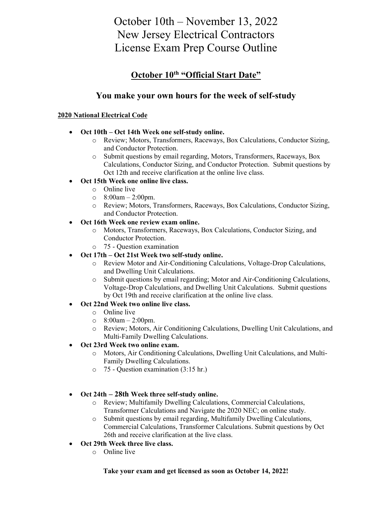# October 10th – November 13, 2022 New Jersey Electrical Contractors License Exam Prep Course Outline

### **October 10th "Official Start Date"**

### **You make your own hours for the week of self-study**

#### **2020 National Electrical Code**

- **Oct 10th – Oct 14th Week one self-study online.**
	- o Review; Motors, Transformers, Raceways, Box Calculations, Conductor Sizing, and Conductor Protection.
	- o Submit questions by email regarding, Motors, Transformers, Raceways, Box Calculations, Conductor Sizing, and Conductor Protection. Submit questions by Oct 12th and receive clarification at the online live class.
- **Oct 15th Week one online live class.**
	- o Online live
	- $\degree$  8:00am 2:00pm.
	- o Review; Motors, Transformers, Raceways, Box Calculations, Conductor Sizing, and Conductor Protection.
- **Oct 16th Week one review exam online.**
	- o Motors, Transformers, Raceways, Box Calculations, Conductor Sizing, and Conductor Protection.
	- o 75 Question examination
- **Oct 17th – Oct 21st Week two self-study online.**
	- o Review Motor and Air-Conditioning Calculations, Voltage-Drop Calculations, and Dwelling Unit Calculations.
	- o Submit questions by email regarding; Motor and Air-Conditioning Calculations, Voltage-Drop Calculations, and Dwelling Unit Calculations. Submit questions by Oct 19th and receive clarification at the online live class.
- **Oct 22nd Week two online live class.**
	- o Online live
	- $\degree$  8:00am 2:00pm.
	- o Review; Motors, Air Conditioning Calculations, Dwelling Unit Calculations, and Multi-Family Dwelling Calculations.
- **Oct 23rd Week two online exam.**
	- o Motors, Air Conditioning Calculations, Dwelling Unit Calculations, and Multi-Family Dwelling Calculations.
	- o 75 Question examination (3:15 hr.)
- **Oct 24th – 28th Week three self-study online.**
	- o Review; Multifamily Dwelling Calculations, Commercial Calculations, Transformer Calculations and Navigate the 2020 NEC; on online study.
	- o Submit questions by email regarding, Multifamily Dwelling Calculations, Commercial Calculations, Transformer Calculations. Submit questions by Oct 26th and receive clarification at the live class.
- **Oct 29th Week three live class.**
	- o Online live

#### **Take your exam and get licensed as soon as October 14, 2022!**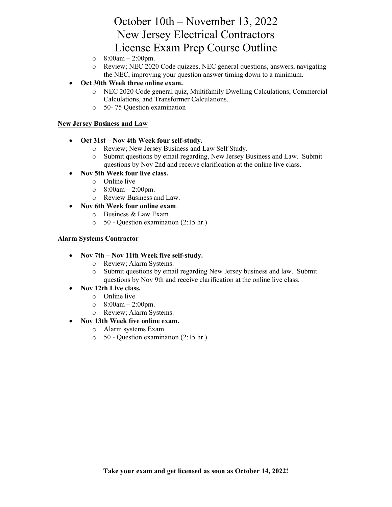## October 10th – November 13, 2022 New Jersey Electrical Contractors License Exam Prep Course Outline

- $\degree$  8:00am 2:00pm.
- o Review; NEC 2020 Code quizzes, NEC general questions, answers, navigating the NEC, improving your question answer timing down to a minimum.
- **Oct 30th Week three online exam.** 
	- o NEC 2020 Code general quiz, Multifamily Dwelling Calculations, Commercial Calculations, and Transformer Calculations.
	- o 50- 75 Question examination

#### **New Jersey Business and Law**

- **Oct 31st – Nov 4th Week four self-study.**
	- o Review; New Jersey Business and Law Self Study.
	- o Submit questions by email regarding, New Jersey Business and Law. Submit questions by Nov 2nd and receive clarification at the online live class.
- **Nov 5th Week four live class.**
	- o Online live
	- $\degree$  8:00am 2:00pm.
	- o Review Business and Law.
- **Nov 6th Week four online exam**.
	- o Business & Law Exam
	- o 50 Question examination (2:15 hr.)

#### **Alarm Systems Contractor**

- **Nov 7th – Nov 11th Week five self-study.**
	- o Review; Alarm Systems.
	- o Submit questions by email regarding New Jersey business and law. Submit questions by Nov 9th and receive clarification at the online live class.

#### • **Nov 12th Live class.**

- o Online live
- $\degree$  8:00am 2:00pm.
- o Review; Alarm Systems.
- **Nov 13th Week five online exam.** 
	- o Alarm systems Exam
	- o 50 Question examination (2:15 hr.)